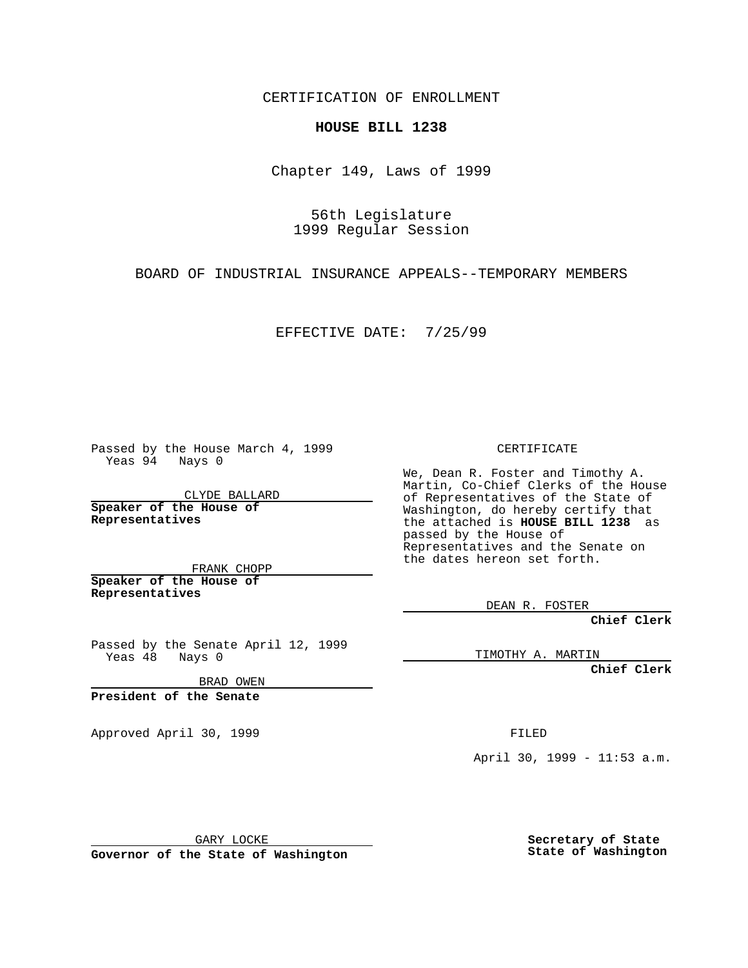CERTIFICATION OF ENROLLMENT

## **HOUSE BILL 1238**

Chapter 149, Laws of 1999

56th Legislature 1999 Regular Session

BOARD OF INDUSTRIAL INSURANCE APPEALS--TEMPORARY MEMBERS

EFFECTIVE DATE: 7/25/99

Passed by the House March 4, 1999 Yeas 94 Nays 0

CLYDE BALLARD **Speaker of the House of Representatives**

FRANK CHOPP **Speaker of the House of Representatives**

Passed by the Senate April 12, 1999<br>Yeas 48 Nays 0  $Yeas 48$ 

BRAD OWEN

**President of the Senate**

Approved April 30, 1999 **FILED** 

## CERTIFICATE

We, Dean R. Foster and Timothy A. Martin, Co-Chief Clerks of the House of Representatives of the State of Washington, do hereby certify that the attached is **HOUSE BILL 1238** as passed by the House of Representatives and the Senate on the dates hereon set forth.

DEAN R. FOSTER

**Chief Clerk**

TIMOTHY A. MARTIN

**Chief Clerk**

April 30, 1999 - 11:53 a.m.

GARY LOCKE

**Governor of the State of Washington**

**Secretary of State State of Washington**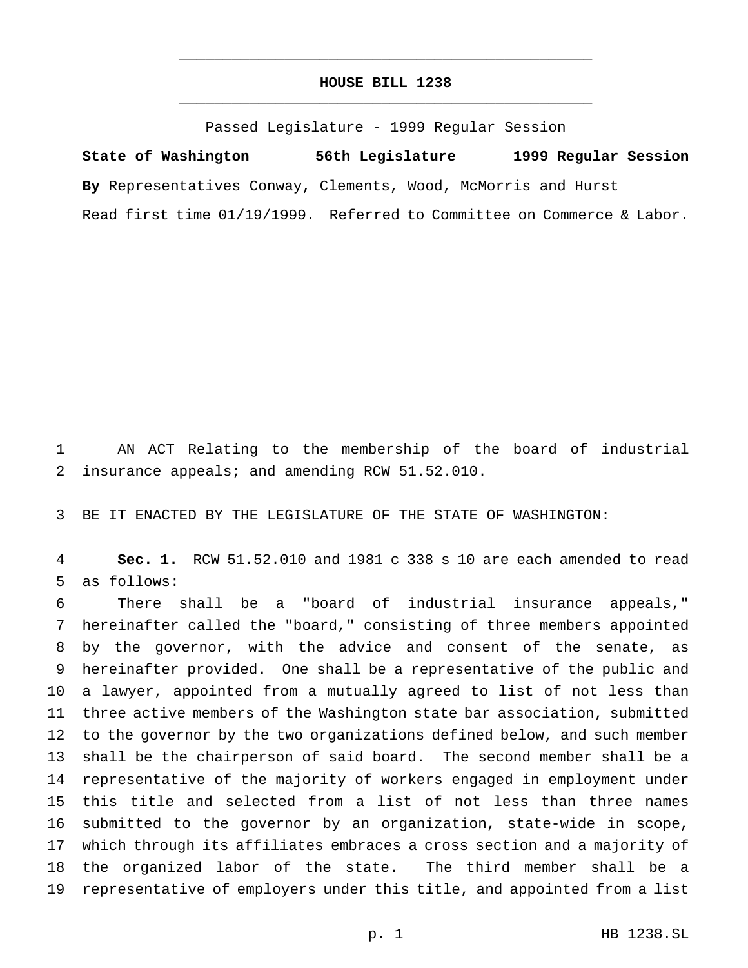## **HOUSE BILL 1238** \_\_\_\_\_\_\_\_\_\_\_\_\_\_\_\_\_\_\_\_\_\_\_\_\_\_\_\_\_\_\_\_\_\_\_\_\_\_\_\_\_\_\_\_\_\_\_

\_\_\_\_\_\_\_\_\_\_\_\_\_\_\_\_\_\_\_\_\_\_\_\_\_\_\_\_\_\_\_\_\_\_\_\_\_\_\_\_\_\_\_\_\_\_\_

Passed Legislature - 1999 Regular Session

**State of Washington 56th Legislature 1999 Regular Session By** Representatives Conway, Clements, Wood, McMorris and Hurst Read first time 01/19/1999. Referred to Committee on Commerce & Labor.

 AN ACT Relating to the membership of the board of industrial insurance appeals; and amending RCW 51.52.010.

BE IT ENACTED BY THE LEGISLATURE OF THE STATE OF WASHINGTON:

 **Sec. 1.** RCW 51.52.010 and 1981 c 338 s 10 are each amended to read as follows:

 There shall be a "board of industrial insurance appeals," hereinafter called the "board," consisting of three members appointed by the governor, with the advice and consent of the senate, as hereinafter provided. One shall be a representative of the public and a lawyer, appointed from a mutually agreed to list of not less than three active members of the Washington state bar association, submitted to the governor by the two organizations defined below, and such member shall be the chairperson of said board. The second member shall be a representative of the majority of workers engaged in employment under this title and selected from a list of not less than three names submitted to the governor by an organization, state-wide in scope, which through its affiliates embraces a cross section and a majority of the organized labor of the state. The third member shall be a representative of employers under this title, and appointed from a list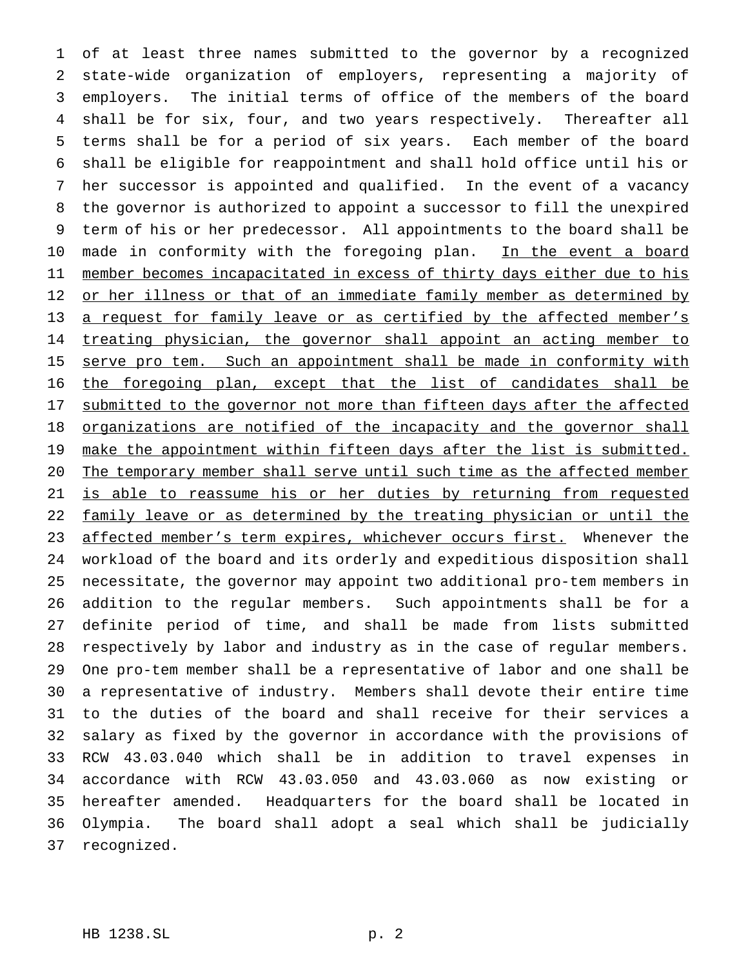of at least three names submitted to the governor by a recognized state-wide organization of employers, representing a majority of employers. The initial terms of office of the members of the board shall be for six, four, and two years respectively. Thereafter all terms shall be for a period of six years. Each member of the board shall be eligible for reappointment and shall hold office until his or her successor is appointed and qualified. In the event of a vacancy the governor is authorized to appoint a successor to fill the unexpired term of his or her predecessor. All appointments to the board shall be 10 made in conformity with the foregoing plan. In the event a board 11 member becomes incapacitated in excess of thirty days either due to his 12 or her illness or that of an immediate family member as determined by 13 a request for family leave or as certified by the affected member's 14 treating physician, the governor shall appoint an acting member to 15 serve pro tem. Such an appointment shall be made in conformity with the foregoing plan, except that the list of candidates shall be 17 submitted to the governor not more than fifteen days after the affected 18 organizations are notified of the incapacity and the governor shall 19 make the appointment within fifteen days after the list is submitted. The temporary member shall serve until such time as the affected member is able to reassume his or her duties by returning from requested 22 family leave or as determined by the treating physician or until the 23 affected member's term expires, whichever occurs first. Whenever the workload of the board and its orderly and expeditious disposition shall necessitate, the governor may appoint two additional pro-tem members in addition to the regular members. Such appointments shall be for a definite period of time, and shall be made from lists submitted respectively by labor and industry as in the case of regular members. One pro-tem member shall be a representative of labor and one shall be a representative of industry. Members shall devote their entire time to the duties of the board and shall receive for their services a salary as fixed by the governor in accordance with the provisions of RCW 43.03.040 which shall be in addition to travel expenses in accordance with RCW 43.03.050 and 43.03.060 as now existing or hereafter amended. Headquarters for the board shall be located in Olympia. The board shall adopt a seal which shall be judicially recognized.